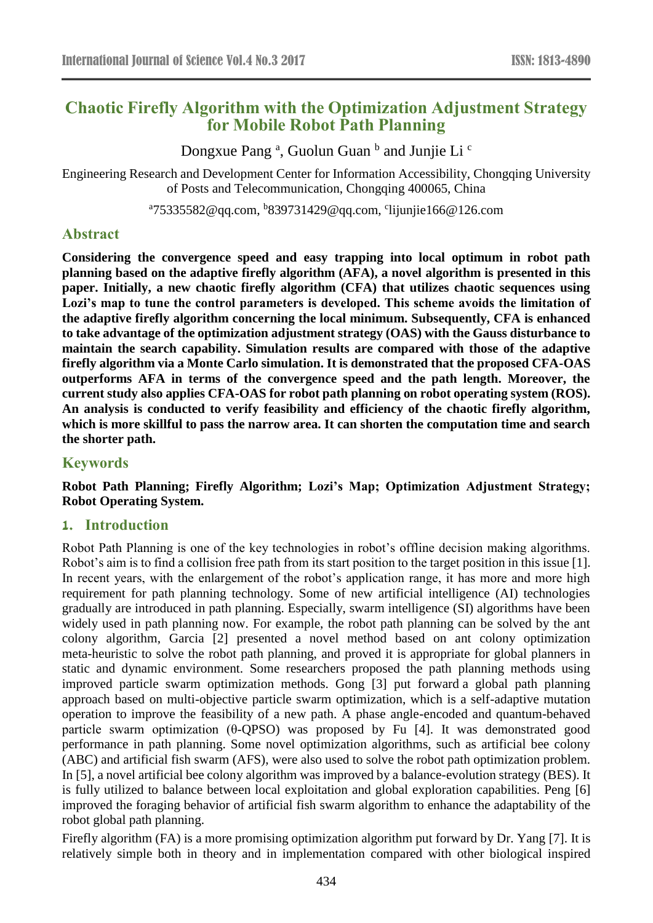# **Chaotic Firefly Algorithm with the Optimization Adjustment Strategy for Mobile Robot Path Planning**

Dongxue Pang<sup>a</sup>, Guolun Guan <sup>b</sup> and Junjie Li<sup>c</sup>

Engineering Research and Development Center for Information Accessibility, Chongqing University of Posts and Telecommunication, Chongqing 400065, China

<sup>a</sup>75335582@qq.com, <sup>b</sup>839731429@qq.com, <sup>c</sup>lijunjie166@126.com

## **Abstract**

**Considering the convergence speed and easy trapping into local optimum in robot path planning based on the adaptive firefly algorithm (AFA), a novel algorithm is presented in this paper. Initially, a new chaotic firefly algorithm (CFA) that utilizes chaotic sequences using Lozi's map to tune the control parameters is developed. This scheme avoids the limitation of the adaptive firefly algorithm concerning the local minimum. Subsequently, CFA is enhanced to take advantage of the optimization adjustment strategy (OAS) with the Gauss disturbance to maintain the search capability. Simulation results are compared with those of the adaptive firefly algorithm via a Monte Carlo simulation. It is demonstrated that the proposed CFA-OAS outperforms AFA in terms of the convergence speed and the path length. Moreover, the current study also applies CFA-OAS for robot path planning on robot operating system (ROS). An analysis is conducted to verify feasibility and efficiency of the chaotic firefly algorithm, which is more skillful to pass the narrow area. It can shorten the computation time and search the shorter path.**

## **Keywords**

## **Robot Path Planning; Firefly Algorithm; Lozi's Map; Optimization Adjustment Strategy; Robot Operating System.**

## **1. Introduction**

Robot Path Planning is one of the key technologies in robot's offline decision making algorithms. Robot's aim is to find a collision free path from its start position to the target position in this issue [1]. In recent years, with the enlargement of the robot's application range, it has more and more high requirement for path planning technology. Some of new artificial intelligence (AI) technologies gradually are introduced in path planning. Especially, swarm intelligence (SI) algorithms have been widely used in path planning now. For example, the robot path planning can be solved by the ant colony algorithm, Garcia [2] presented a novel method based on ant colony optimization meta-heuristic to solve the robot path planning, and proved it is appropriate for global planners in static and dynamic environment. Some researchers proposed the path planning methods using improved particle swarm optimization methods. Gong [3] put forward a global path planning approach based on multi-objective particle swarm optimization, which is a self-adaptive mutation operation to improve the feasibility of a new path. A phase angle-encoded and quantum-behaved particle swarm optimization (θ-QPSO) was proposed by Fu [4]. It was demonstrated good performance in path planning. Some novel optimization algorithms, such as artificial bee colony (ABC) and artificial fish swarm (AFS), were also used to solve the robot path optimization problem. In [5], a novel artificial bee colony algorithm was improved by a balance-evolution strategy (BES). It is fully utilized to balance between local exploitation and global exploration capabilities. Peng [6] improved the foraging behavior of artificial fish swarm algorithm to enhance the adaptability of the robot global path planning.

Firefly algorithm (FA) is a more promising optimization algorithm put forward by Dr. Yang [7]. It is relatively simple both in theory and in implementation compared with other biological inspired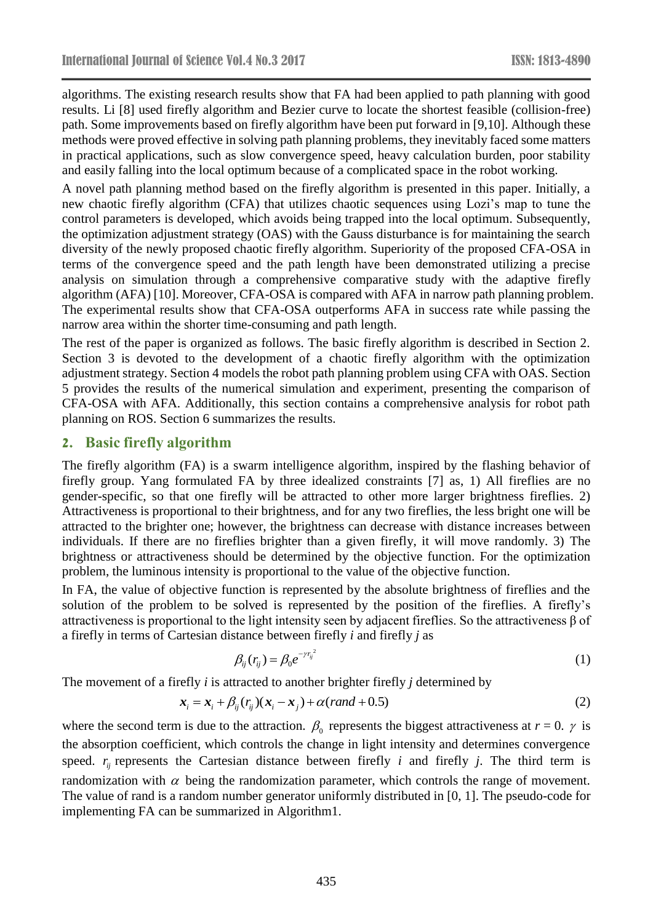algorithms. The existing research results show that FA had been applied to path planning with good results. Li [8] used firefly algorithm and Bezier curve to locate the shortest feasible (collision-free) path. Some improvements based on firefly algorithm have been put forward in [9,10]. Although these methods were proved effective in solving path planning problems, they inevitably faced some matters in practical applications, such as slow convergence speed, heavy calculation burden, poor stability and easily falling into the local optimum because of a complicated space in the robot working.

A novel path planning method based on the firefly algorithm is presented in this paper. Initially, a new chaotic firefly algorithm (CFA) that utilizes chaotic sequences using Lozi's map to tune the control parameters is developed, which avoids being trapped into the local optimum. Subsequently, the optimization adjustment strategy (OAS) with the Gauss disturbance is for maintaining the search diversity of the newly proposed chaotic firefly algorithm. Superiority of the proposed CFA-OSA in terms of the convergence speed and the path length have been demonstrated utilizing a precise analysis on simulation through a comprehensive comparative study with the adaptive firefly algorithm (AFA) [10]. Moreover, CFA-OSA is compared with AFA in narrow path planning problem. The experimental results show that CFA-OSA outperforms AFA in success rate while passing the narrow area within the shorter time-consuming and path length.

The rest of the paper is organized as follows. The basic firefly algorithm is described in Section 2. Section 3 is devoted to the development of a chaotic firefly algorithm with the optimization adjustment strategy. Section 4 models the robot path planning problem using CFA with OAS. Section 5 provides the results of the numerical simulation and experiment, presenting the comparison of CFA-OSA with AFA. Additionally, this section contains a comprehensive analysis for robot path planning on ROS. Section 6 summarizes the results.

## **2. Basic firefly algorithm**

The firefly algorithm (FA) is a swarm intelligence algorithm, inspired by the flashing behavior of firefly group. Yang formulated FA by three idealized constraints [7] as, 1) All fireflies are no gender-specific, so that one firefly will be attracted to other more larger brightness fireflies. 2) Attractiveness is proportional to their brightness, and for any two fireflies, the less bright one will be attracted to the brighter one; however, the brightness can decrease with distance increases between individuals. If there are no fireflies brighter than a given firefly, it will move randomly. 3) The brightness or attractiveness should be determined by the objective function. For the optimization problem, the luminous intensity is proportional to the value of the objective function.

In FA, the value of objective function is represented by the absolute brightness of fireflies and the solution of the problem to be solved is represented by the position of the fireflies. A firefly's attractiveness is proportional to the light intensity seen by adjacent fireflies. So the attractiveness β of a firefly in terms of Cartesian distance between firefly *i* and firefly *j* as

$$
\beta_{ij}(r_{ij}) = \beta_0 e^{-\gamma r_{ij}^2} \tag{1}
$$

The movement of a firefly *i* is attracted to another brighter firefly *j* determined by

$$
\mathbf{x}_i = \mathbf{x}_i + \beta_{ij} (r_{ij}) (\mathbf{x}_i - \mathbf{x}_j) + \alpha (rand + 0.5)
$$
 (2)

where the second term is due to the attraction.  $\beta_0$  represents the biggest attractiveness at  $r = 0$ .  $\gamma$  is the absorption coefficient, which controls the change in light intensity and determines convergence speed.  $r_{ij}$  represents the Cartesian distance between firefly *i* and firefly *j*. The third term is randomization with  $\alpha$  being the randomization parameter, which controls the range of movement. The value of rand is a random number generator uniformly distributed in [0, 1]. The pseudo-code for implementing FA can be summarized in Algorithm1.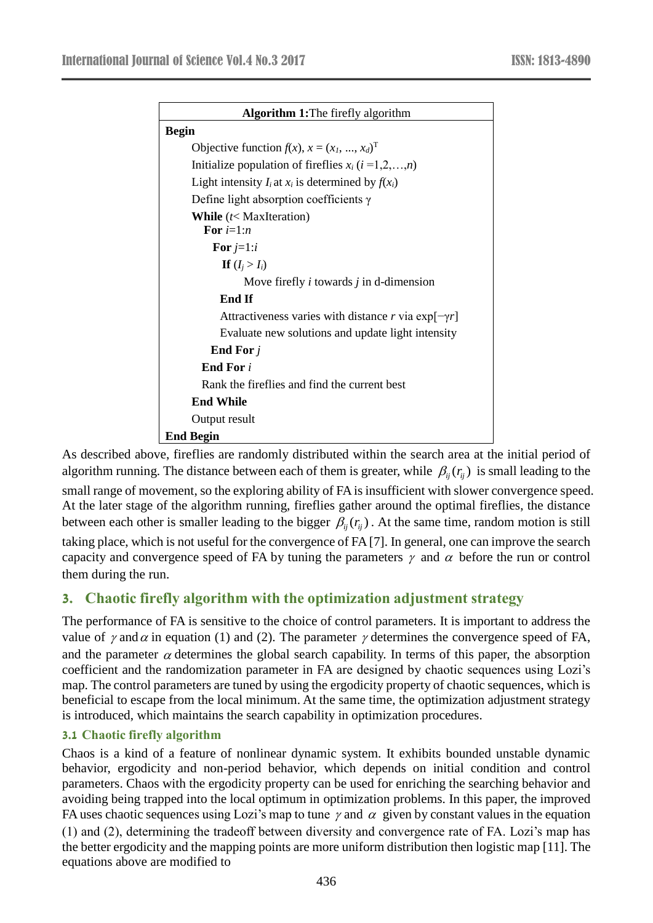| <b>Algorithm 1:</b> The firefly algorithm                    |  |  |  |
|--------------------------------------------------------------|--|--|--|
| <b>Begin</b>                                                 |  |  |  |
| Objective function $f(x)$ , $x = (x_1, , x_d)^T$             |  |  |  |
| Initialize population of fireflies $x_i$ ( $i = 1, 2, , n$ ) |  |  |  |
| Light intensity $I_i$ at $x_i$ is determined by $f(x_i)$     |  |  |  |
| Define light absorption coefficients $\gamma$                |  |  |  |
| <b>While</b> $(t<$ MaxIteration)                             |  |  |  |
| For $i=1:n$                                                  |  |  |  |
| For $j=1:i$                                                  |  |  |  |
| If $(I_i > I_i)$                                             |  |  |  |
| Move firefly $i$ towards $j$ in d-dimension                  |  |  |  |
| <b>End If</b>                                                |  |  |  |
| Attractiveness varies with distance r via $\exp[-\gamma r]$  |  |  |  |
| Evaluate new solutions and update light intensity            |  |  |  |
| End For $j$                                                  |  |  |  |
| <b>End For</b> i                                             |  |  |  |
| Rank the fireflies and find the current best                 |  |  |  |
| <b>End While</b>                                             |  |  |  |
| Output result                                                |  |  |  |
| <b>End Begin</b>                                             |  |  |  |

As described above, fireflies are randomly distributed within the search area at the initial period of algorithm running. The distance between each of them is greater, while  $\beta_{ij}(r_{ij})$  is small leading to the small range of movement, so the exploring ability of FA is insufficient with slower convergence speed. At the later stage of the algorithm running, fireflies gather around the optimal fireflies, the distance between each other is smaller leading to the bigger  $\beta_{ij}(r_{ij})$ . At the same time, random motion is still taking place, which is not useful for the convergence of FA [7]. In general, one can improve the search capacity and convergence speed of FA by tuning the parameters  $\gamma$  and  $\alpha$  before the run or control them during the run.

# **3. Chaotic firefly algorithm with the optimization adjustment strategy**

The performance of FA is sensitive to the choice of control parameters. It is important to address the value of  $\gamma$  and  $\alpha$  in equation (1) and (2). The parameter  $\gamma$  determines the convergence speed of FA, and the parameter  $\alpha$  determines the global search capability. In terms of this paper, the absorption coefficient and the randomization parameter in FA are designed by chaotic sequences using Lozi's map. The control parameters are tuned by using the ergodicity property of chaotic sequences, which is beneficial to escape from the local minimum. At the same time, the optimization adjustment strategy is introduced, which maintains the search capability in optimization procedures.

## **3.1 Chaotic firefly algorithm**

Chaos is a kind of a feature of nonlinear dynamic system. It exhibits bounded unstable dynamic behavior, ergodicity and non-period behavior, which depends on initial condition and control parameters. Chaos with the ergodicity property can be used for enriching the searching behavior and avoiding being trapped into the local optimum in optimization problems. In this paper, the improved FA uses chaotic sequences using Lozi's map to tune  $\gamma$  and  $\alpha$  given by constant values in the equation (1) and (2), determining the tradeoff between diversity and convergence rate of FA. Lozi's map has the better ergodicity and the mapping points are more uniform distribution then logistic map [11]. The equations above are modified to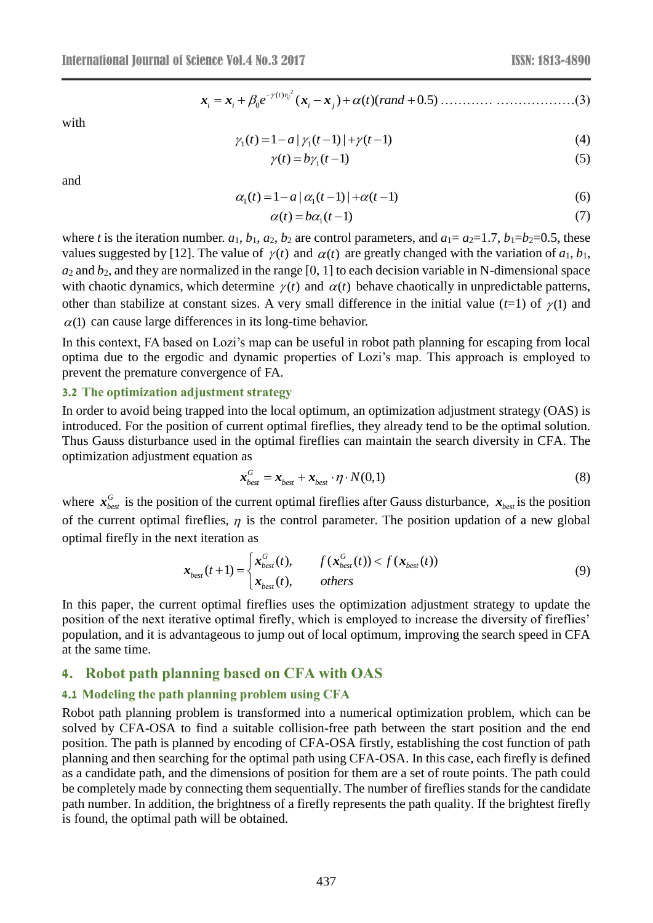2 ( ) 0 ( ) ( )( 0.5) *ij <sup>t</sup> <sup>r</sup> <sup>i</sup> <sup>i</sup> <sup>i</sup> <sup>j</sup> <sup>e</sup> <sup>t</sup> rand x x x x* ………… ………………(3)

with

$$
\gamma_1(t) = 1 - a \left[ \gamma_1(t-1) \right] + \gamma(t-1) \tag{4}
$$

$$
\gamma(t) = b\gamma_1(t-1) \tag{5}
$$

and

$$
\alpha_1(t) = 1 - a \left[ \alpha_1(t-1) \right] + \alpha(t-1) \tag{6}
$$

$$
\alpha(t) = b\alpha_1(t-1) \tag{7}
$$

where *t* is the iteration number.  $a_1$ ,  $b_1$ ,  $a_2$ ,  $b_2$  are control parameters, and  $a_1 = a_2 = 1.7$ ,  $b_1 = b_2 = 0.5$ , these values suggested by [12]. The value of  $\gamma(t)$  and  $\alpha(t)$  are greatly changed with the variation of  $a_1, b_1$ ,  $a_2$  and  $b_2$ , and they are normalized in the range  $[0, 1]$  to each decision variable in N-dimensional space with chaotic dynamics, which determine  $\gamma(t)$  and  $\alpha(t)$  behave chaotically in unpredictable patterns, other than stabilize at constant sizes. A very small difference in the initial value  $(t=1)$  of  $\gamma(1)$  and  $\alpha(1)$  can cause large differences in its long-time behavior.

In this context, FA based on Lozi's map can be useful in robot path planning for escaping from local optima due to the ergodic and dynamic properties of Lozi's map. This approach is employed to prevent the premature convergence of FA.

#### **3.2 The optimization adjustment strategy**

In order to avoid being trapped into the local optimum, an optimization adjustment strategy (OAS) is introduced. For the position of current optimal fireflies, they already tend to be the optimal solution. Thus Gauss disturbance used in the optimal fireflies can maintain the search diversity in CFA. The optimization adjustment equation as

$$
\mathbf{x}_{best}^G = \mathbf{x}_{best} + \mathbf{x}_{best} \cdot \eta \cdot N(0,1) \tag{8}
$$

where  $x_{best}^G$  is the position of the current optimal fireflies after Gauss disturbance,  $x_{best}$  is the position of the current optimal fireflies,  $\eta$  is the control parameter. The position updation of a new global optimal firefly in the next iteration as

$$
\mathbf{x}_{best}(t+1) = \begin{cases} \mathbf{x}_{best}^G(t), & f(\mathbf{x}_{best}^G(t)) < f(\mathbf{x}_{best}(t)) \\ \mathbf{x}_{best}(t), & others \end{cases}
$$
(9)

In this paper, the current optimal fireflies uses the optimization adjustment strategy to update the position of the next iterative optimal firefly, which is employed to increase the diversity of fireflies' population, and it is advantageous to jump out of local optimum, improving the search speed in CFA at the same time.

#### **4. Robot path planning based on CFA with OAS**

#### **4.1 Modeling the path planning problem using CFA**

Robot path planning problem is transformed into a numerical optimization problem, which can be solved by CFA-OSA to find a suitable collision-free path between the start position and the end position. The path is planned by encoding of CFA-OSA firstly, establishing the cost function of path planning and then searching for the optimal path using CFA-OSA. In this case, each firefly is defined as a candidate path, and the dimensions of position for them are a set of route points. The path could be completely made by connecting them sequentially. The number of fireflies stands for the candidate path number. In addition, the brightness of a firefly represents the path quality. If the brightest firefly is found, the optimal path will be obtained.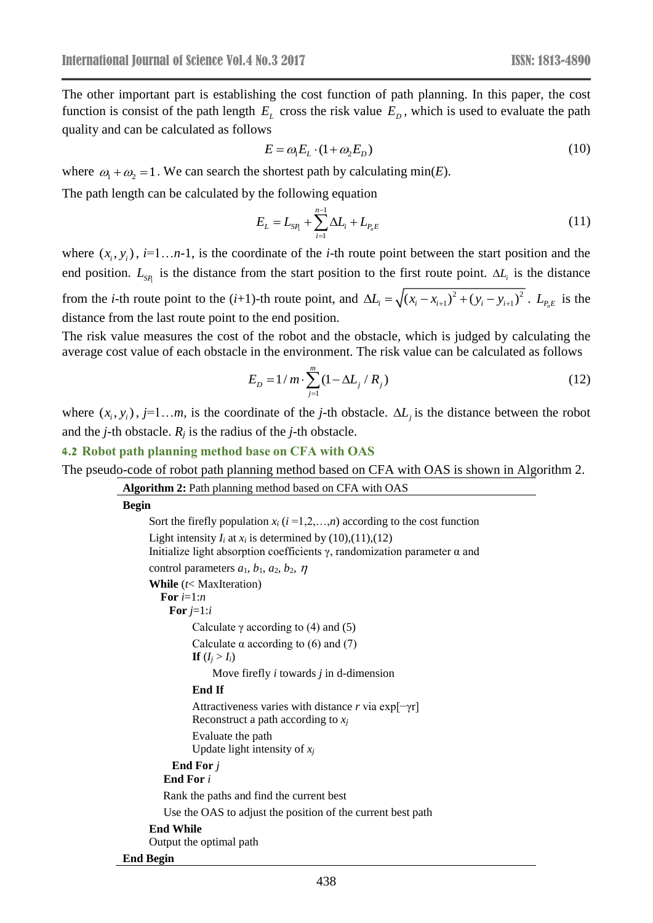The other important part is establishing the cost function of path planning. In this paper, the cost function is consist of the path length  $E_L$  cross the risk value  $E_D$ , which is used to evaluate the path quality and can be calculated as follows

$$
E = \omega_1 E_L \cdot (1 + \omega_2 E_D) \tag{10}
$$

where  $\omega_1 + \omega_2 = 1$ . We can search the shortest path by calculating min(*E*).

The path length can be calculated by the following equation

$$
E_L = L_{\rm SR} + \sum_{i=1}^{n-1} \Delta L_i + L_{P_n E} \tag{11}
$$

where  $(x_i, y_i)$ ,  $i=1...n-1$ , is the coordinate of the *i*-th route point between the start position and the end position.  $L_{SP_1}$  is the distance from the start position to the first route point.  $\Delta L_i$  is the distance from the *i*-th route point to the (*i*+1)-th route point, and  $\Delta L_i = \sqrt{(x_i - x_{i+1})^2 + (y_i - y_{i+1})^2}$ .  $L_{P_nE}$  is the distance from the last route point to the end position.

The risk value measures the cost of the robot and the obstacle, which is judged by calculating the average cost value of each obstacle in the environment. The risk value can be calculated as follows

$$
E_D = 1/m \cdot \sum_{j=1}^{m} (1 - \Delta L_j / R_j)
$$
 (12)

where  $(x_i, y_i)$ ,  $j=1...m$ , is the coordinate of the *j*-th obstacle.  $\Delta L_j$  is the distance between the robot and the *j*-th obstacle.  $R_j$  is the radius of the *j*-th obstacle.

**4.2 Robot path planning method base on CFA with OAS**

The pseudo-code of robot path planning method based on CFA with OAS is shown in Algorithm 2.

```
Algorithm 2: Path planning method based on CFA with OAS
Begin
      Sort the firefly population x_i (i = 1, 2, ..., n) according to the cost function
      Light intensity I_i at x_i is determined by (10),(11),(12)
      Initialize light absorption coefficients γ, randomization parameter α and
      control parameters a_1, b_1, a_2, b_2, \etaWhile (t< MaxIteration)
          For i=1:n
            For j=1:i
                Calculate \gamma according to (4) and (5)
                Calculate \alpha according to (6) and (7)
                \mathbf{If} (I_i > I_i)Move firefly i towards j in d-dimension
                 End If 
                 Attractiveness varies with distance r via exp[−γr]
                 Reconstruct a path according to xj
                 Evaluate the path
                 Update light intensity of xj
            End For j
           End For i
          Rank the paths and find the current best
           Use the OAS to adjust the position of the current best path 
      End While
      Output the optimal path
End Begin
```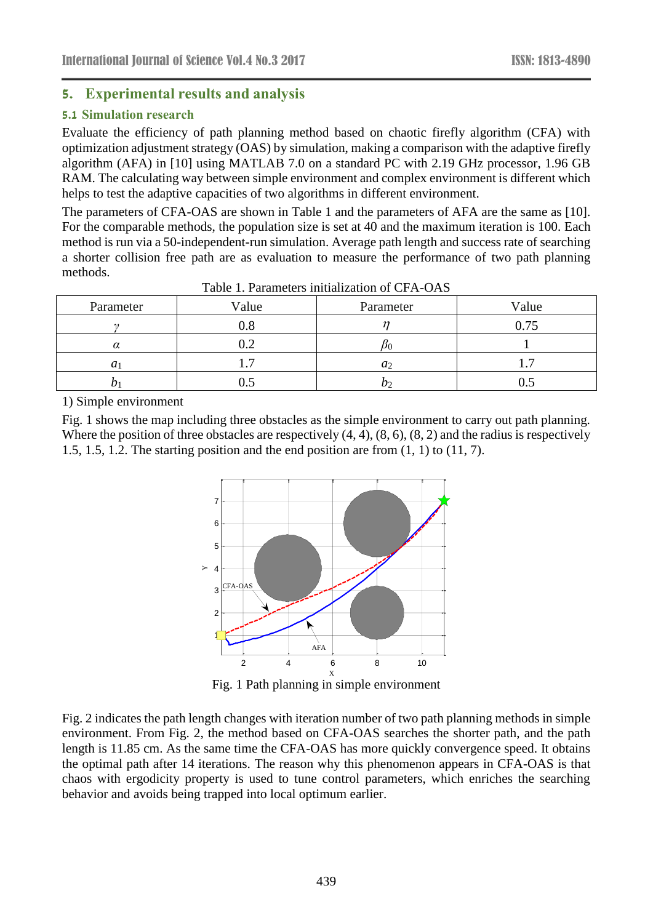## **5. Experimental results and analysis**

## **5.1 Simulation research**

Evaluate the efficiency of path planning method based on chaotic firefly algorithm (CFA) with optimization adjustment strategy (OAS) by simulation, making a comparison with the adaptive firefly algorithm (AFA) in [10] using MATLAB 7.0 on a standard PC with 2.19 GHz processor, 1.96 GB RAM. The calculating way between simple environment and complex environment is different which helps to test the adaptive capacities of two algorithms in different environment.

The parameters of CFA-OAS are shown in Table 1 and the parameters of AFA are the same as [10]. For the comparable methods, the population size is set at 40 and the maximum iteration is 100. Each method is run via a 50-independent-run simulation. Average path length and success rate of searching a shorter collision free path are as evaluation to measure the performance of two path planning methods.

| Parameter  | Value | Parameter      | Value |
|------------|-------|----------------|-------|
| $\sim$     |       |                |       |
| α          |       |                |       |
| $a_1$      |       | a <sub>2</sub> |       |
| $\upsilon$ |       |                | v.c   |

Table 1. Parameters initialization of CFA-OAS

1) Simple environment

Fig. 1 shows the map including three obstacles as the simple environment to carry out path planning. Where the position of three obstacles are respectively  $(4, 4)$ ,  $(8, 6)$ ,  $(8, 2)$  and the radius is respectively 1.5, 1.5, 1.2. The starting position and the end position are from  $(1, 1)$  to  $(11, 7)$ .



Fig. 1 Path planning in simple environment

Fig. 2 indicates the path length changes with iteration number of two path planning methods in simple environment. From Fig. 2, the method based on CFA-OAS searches the shorter path, and the path length is 11.85 cm. As the same time the CFA-OAS has more quickly convergence speed. It obtains the optimal path after 14 iterations. The reason why this phenomenon appears in CFA-OAS is that chaos with ergodicity property is used to tune control parameters, which enriches the searching behavior and avoids being trapped into local optimum earlier.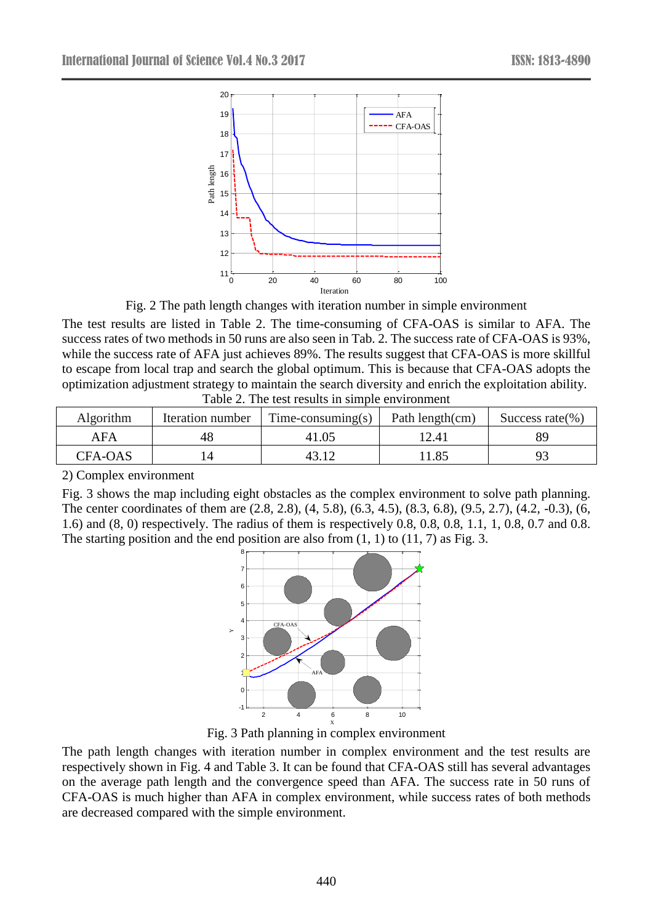

Fig. 2 The path length changes with iteration number in simple environment

The test results are listed in Table 2. The time-consuming of CFA-OAS is similar to AFA. The success rates of two methods in 50 runs are also seen in Tab. 2. The success rate of CFA-OAS is 93%, while the success rate of AFA just achieves 89%. The results suggest that CFA-OAS is more skillful to escape from local trap and search the global optimum. This is because that CFA-OAS adopts the optimization adjustment strategy to maintain the search diversity and enrich the exploitation ability. Table 2. The test results in simple environment

| Algorithm      | Iteration number | $Time-consuming(s)$ | Path length(cm) | Success rate $(\%)$ |
|----------------|------------------|---------------------|-----------------|---------------------|
| AFA            | 48               | 41.05               | 12.41           | 89                  |
| <b>CFA-OAS</b> |                  |                     | 1.85            |                     |

2) Complex environment

Fig. 3 shows the map including eight obstacles as the complex environment to solve path planning. The center coordinates of them are (2.8, 2.8), (4, 5.8), (6.3, 4.5), (8.3, 6.8), (9.5, 2.7), (4.2, -0.3), (6, 1.6) and (8, 0) respectively. The radius of them is respectively 0.8, 0.8, 0.8, 1.1, 1, 0.8, 0.7 and 0.8. The starting position and the end position are also from  $(1, 1)$  to  $(11, 7)$  as Fig. 3.



Fig. 3 Path planning in complex environment

The path length changes with iteration number in complex environment and the test results are respectively shown in Fig. 4 and Table 3. It can be found that CFA-OAS still has several advantages on the average path length and the convergence speed than AFA. The success rate in 50 runs of CFA-OAS is much higher than AFA in complex environment, while success rates of both methods are decreased compared with the simple environment.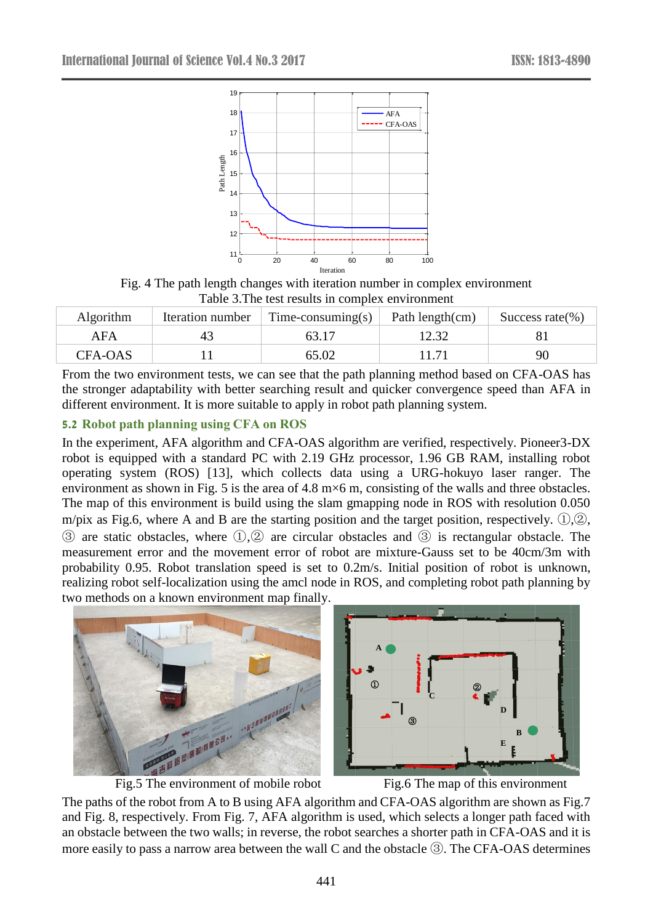

Fig. 4 The path length changes with iteration number in complex environment Table 3.The test results in complex environment

| Algorithm      | Iteration number | $Time-consuming(s)$ | Path length(cm) | Success rate $(\% )$ |
|----------------|------------------|---------------------|-----------------|----------------------|
| AFA            |                  |                     |                 |                      |
| <b>CFA-OAS</b> |                  | 65.02               |                 | 90                   |

From the two environment tests, we can see that the path planning method based on CFA-OAS has the stronger adaptability with better searching result and quicker convergence speed than AFA in different environment. It is more suitable to apply in robot path planning system.

## **5.2 Robot path planning using CFA on ROS**

In the experiment, AFA algorithm and CFA-OAS algorithm are verified, respectively. Pioneer3-DX robot is equipped with a standard PC with 2.19 GHz processor, 1.96 GB RAM, installing robot operating system (ROS) [13], which collects data using a URG-hokuyo laser ranger. The environment as shown in Fig. 5 is the area of 4.8 m×6 m, consisting of the walls and three obstacles. The map of this environment is build using the slam gmapping node in ROS with resolution 0.050 m/pix as Fig.6, where A and B are the starting position and the target position, respectively. ①,②, ③ are static obstacles, where ①,② are circular obstacles and ③ is rectangular obstacle. The measurement error and the movement error of robot are mixture-Gauss set to be 40cm/3m with probability 0.95. Robot translation speed is set to 0.2m/s. Initial position of robot is unknown, realizing robot self-localization using the amcl node in ROS, and completing robot path planning by two methods on a known environment map finally.









The paths of the robot from A to B using AFA algorithm and CFA-OAS algorithm are shown as Fig.7 and Fig. 8, respectively. From Fig. 7, AFA algorithm is used, which selects a longer path faced with an obstacle between the two walls; in reverse, the robot searches a shorter path in CFA-OAS and it is more easily to pass a narrow area between the wall C and the obstacle ③. The CFA-OAS determines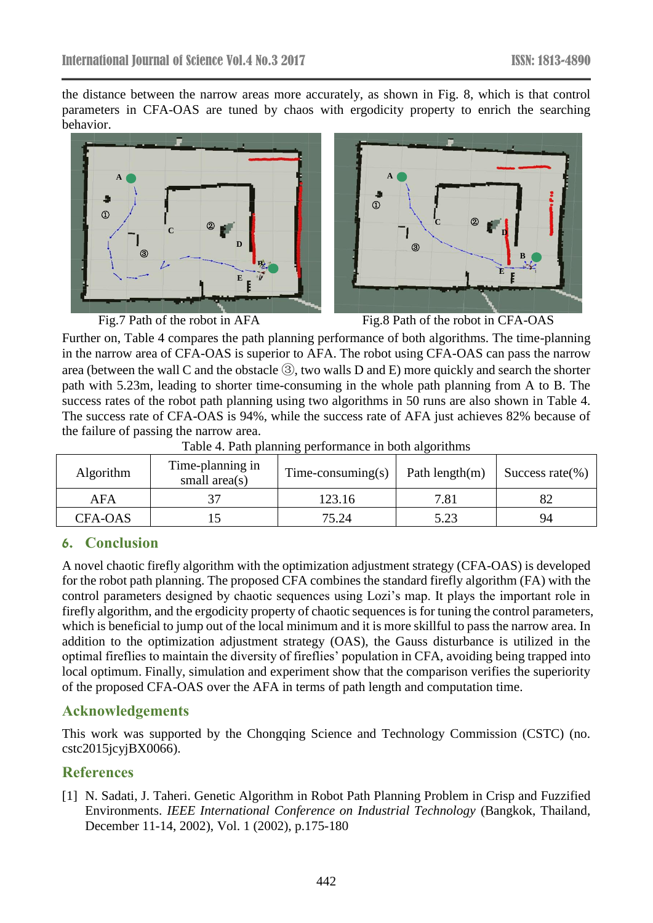the distance between the narrow areas more accurately, as shown in Fig. 8, which is that control parameters in CFA-OAS are tuned by chaos with ergodicity property to enrich the searching behavior.





Fig.7 Path of the robot in AFA Fig.8 Path of the robot in CFA-OAS

Further on, Table 4 compares the path planning performance of both algorithms. The time-planning in the narrow area of CFA-OAS is superior to AFA. The robot using CFA-OAS can pass the narrow area (between the wall C and the obstacle ③, two walls D and E) more quickly and search the shorter path with 5.23m, leading to shorter time-consuming in the whole path planning from A to B. The success rates of the robot path planning using two algorithms in 50 runs are also shown in Table 4. The success rate of CFA-OAS is 94%, while the success rate of AFA just achieves 82% because of the failure of passing the narrow area.

| Algorithm | Time-planning in<br>small area $(s)$ | $Time-consuming(s)$ | Path length $(m)$ | Success rate $(\%)$ |
|-----------|--------------------------------------|---------------------|-------------------|---------------------|
| AFA       |                                      | 123.16              | 7.81              |                     |
| CFA-OAS   |                                      | 75.24               | 5.23              | 94                  |

Table 4. Path planning performance in both algorithms

# **6. Conclusion**

A novel chaotic firefly algorithm with the optimization adjustment strategy (CFA-OAS) is developed for the robot path planning. The proposed CFA combines the standard firefly algorithm (FA) with the control parameters designed by chaotic sequences using Lozi's map. It plays the important role in firefly algorithm, and the ergodicity property of chaotic sequences is for tuning the control parameters, which is beneficial to jump out of the local minimum and it is more skillful to pass the narrow area. In addition to the optimization adjustment strategy (OAS), the Gauss disturbance is utilized in the optimal fireflies to maintain the diversity of fireflies' population in CFA, avoiding being trapped into local optimum. Finally, simulation and experiment show that the comparison verifies the superiority of the proposed CFA-OAS over the AFA in terms of path length and computation time.

# **Acknowledgements**

This work was supported by the Chongqing Science and Technology Commission (CSTC) (no. cstc2015jcyjBX0066).

# **References**

[1] N. Sadati, J. Taheri. Genetic Algorithm in Robot Path Planning Problem in Crisp and Fuzzified Environments. *IEEE International Conference on Industrial Technology* (Bangkok, Thailand, December 11-14, 2002), Vol. 1 (2002), p.175-180